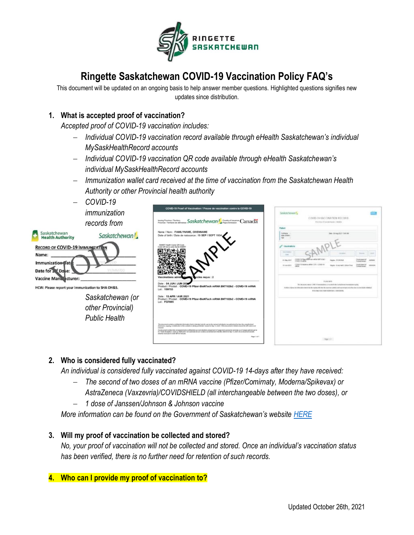

# **Ringette Saskatchewan COVID-19 Vaccination Policy FAQ's**

This document will be updated on an ongoing basis to help answer member questions. Highlighted questions signifies new updates since distribution.

# **1. What is accepted proof of vaccination?**

− *COVID-19* 

*Accepted proof of COVID-19 vaccination includes:*

- − *Individual COVID-19 vaccination record available through eHealth Saskatchewan's individual MySaskHealthRecord accounts*
- − *Individual COVID-19 vaccination QR code available through eHealth Saskatchewan's individual MySaskHealthRecord accounts*
- − *Immunization wallet card received at the time of vaccination from the Saskatchewan Health Authority or other Provincial health authority*

| <u> UUVID-19</u><br>immunization<br>records from                                                                                       | COVID-19 Proof of Vaccination / Preuve de vaccination contre la COVID-19<br>Insura Province / Tentiory <b>Saskatchewan</b> / Country of insurance Canada                                                                                                                                                                                                                                                                                                                                                                                        | Savionstewant,<br>COVID-19 VACCINATION RECORD<br>49-in cross at 10 per ball changes. It details<br>Paliett                                                                                                                                                                                                                                                                                                                                                                                |
|----------------------------------------------------------------------------------------------------------------------------------------|-------------------------------------------------------------------------------------------------------------------------------------------------------------------------------------------------------------------------------------------------------------------------------------------------------------------------------------------------------------------------------------------------------------------------------------------------------------------------------------------------------------------------------------------------|-------------------------------------------------------------------------------------------------------------------------------------------------------------------------------------------------------------------------------------------------------------------------------------------------------------------------------------------------------------------------------------------------------------------------------------------------------------------------------------------|
| Saskatchewan<br>Saskatchewan!<br><b>Health Authority</b>                                                                               | Name / Nom: FAMILYNAME, GIVENNAME<br>Date of birth / Date de naissance : 19 SEP / SEPT 193                                                                                                                                                                                                                                                                                                                                                                                                                                                      | Listings<br>THIS LIFE AND DOCT YORK AND<br>Date of the fit<br><b>NH</b>                                                                                                                                                                                                                                                                                                                                                                                                                   |
| <b>RECORD OF COVID-19 IMMUNIZATI</b><br>Name:<br>Immunization Date<br>YY/MM/DD<br>Date for $z^{\alpha}$ Dose:<br>Vaccine Manufacturer: | Health Cards OR Code<br>ccins recus : 2<br>Date: 04 JUN / JUIN 202                                                                                                                                                                                                                                                                                                                                                                                                                                                                              | <b>Vascination</b><br><b>SECRETARY</b><br>Smooth.<br><b>Contract</b><br><b>Time</b><br>SASI TO Please allerate was waithed \$1.8712.562<br>losenará d<br>faces, FCE/ESI<br>$3 - 566 - 361$<br><b>GATES</b><br>Call Co. City conditions<br>university and<br>CAVEL 14 Inquiries without 1279 - CODEE-4<br>premiera al<br>Numi Ericraft (Wie 19)<br><b>BY-SALIROT</b><br><b>INVESTIGAT</b><br><b>FULL BIR</b><br>The determinance COST to announce at terminal education or analysis except |
| HCW: Please report your immunization to SHA OH&S.<br>Saskatchewan (or<br>other Provincial)                                             | Product / Produit: COVID-19 Pfizer-BioNTech mRNA BNT162b2 - COVID-19 mRNA<br>Lot: 159753<br>Date: 15 APR / AVR 2021<br>Product / Produit: COVID-19 Pfizer-BioNTech mRNA BNT162b2 - COVID-19 mRNA<br>Lot: FG7895                                                                                                                                                                                                                                                                                                                                 | Institute in International Admission Appointment Company of at the state for a projet and manifestation in a framework in consultant and admission<br>EXPLORATION IN THREE DESIGNATION CONTRACTOR                                                                                                                                                                                                                                                                                         |
| <b>Public Health</b>                                                                                                                   | This document contains confidential information that is intended only for our by the named included and as authorized by law. Any unauthorized<br>disclosure, regums, or shallculon of the contents is attributed for placed on S<br>cheesed.<br>Or document content des renaisgnements confidentials qui sont dealinés uniquement à l'usage de la paracene nommée ou à l'usage autorial par la<br>Es : Toute dissipation, copie ou diatribution non autorisan de se contenue auto<br>assured visus que le code Off ne feat pas.<br>Page 1 of 1 |                                                                                                                                                                                                                                                                                                                                                                                                                                                                                           |

# **2. Who is considered fully vaccinated?**

*An individual is considered fully vaccinated against COVID-19 14-days after they have received:*

- − *The second of two doses of an mRNA vaccine (Pfizer/Comirnaty, Moderna/Spikevax) or AstraZeneca (Vaxzevria)/COVIDSHIELD (all interchangeable between the two doses), or*
- − *1 dose of Janssen/Johnson & Johnson vaccine*

*More information can be found on the Government of Saskatchewan's website [HERE](https://www.saskatchewan.ca/government/health-care-administration-and-provider-resources/treatment-procedures-and-guidelines/emerging-public-health-issues/2019-novel-coronavirus/covid-19-vaccine/proof-of-vaccination)*

## **3. Will my proof of vaccination be collected and stored?**

*No, your proof of vaccination will not be collected and stored. Once an individual's vaccination status has been verified, there is no further need for retention of such records.*

### **4. Who can I provide my proof of vaccination to?**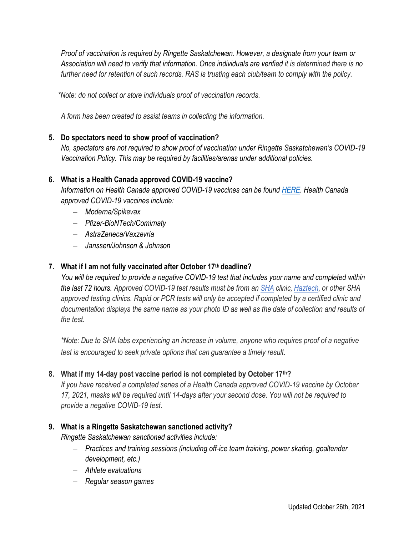*Proof of vaccination is required by Ringette Saskatchewan. However, a designate from your team or Association will need to verify that information. Once individuals are verified it is determined there is no further need for retention of such records. RAS is trusting each club/team to comply with the policy.*

 *\*Note: do not collect or store individuals proof of vaccination records.* 

*A form has been created to assist teams in collecting the information.* 

# **5. Do spectators need to show proof of vaccination?**

*No, spectators are not required to show proof of vaccination under Ringette Saskatchewan's COVID-19 Vaccination Policy. This may be required by facilities/arenas under additional policies.*

# **6. What is a Health Canada approved COVID-19 vaccine?**

*Information on Health Canada approved COVID-19 vaccines can be found [HERE.](https://www.canada.ca/en/health-canada/services/drugs-health-products/covid19-industry/drugs-vaccines-treatments/vaccines.html) Health Canada approved COVID-19 vaccines include:*

- − *Moderna/Spikevax*
- − *Pfizer-BioNTech/Comirnaty*
- − *AstraZeneca/Vaxzevria*
- − *Janssen/Johnson & Johnson*

# **7. What if I am not fully vaccinated after October 17th deadline?**

*You will be required to provide a negative COVID-19 test that includes your name and completed within the last 72 hours. Approved COVID-19 test results must be from an [SHA](https://www.saskatchewan.ca/government/health-care-administration-and-provider-resources/treatment-procedures-and-guidelines/emerging-public-health-issues/2019-novel-coronavirus/testing-information) clinic, [Haztech,](https://haztech.com/book-covid-19-test/) or other SHA approved testing clinics. Rapid or PCR tests will only be accepted if completed by a certified clinic and documentation displays the same name as your photo ID as well as the date of collection and results of the test.*

*\*Note: Due to SHA labs experiencing an increase in volume, anyone who requires proof of a negative test is encouraged to seek private options that can guarantee a timely result.*

# **8. What if my 14-day post vaccine period is not completed by October 17th?**

*If you have received a completed series of a Health Canada approved COVID-19 vaccine by October 17, 2021, masks will be required until 14-days after your second dose. You will not be required to provide a negative COVID-19 test.* 

# **9. What is a Ringette Saskatchewan sanctioned activity?**

*Ringette Saskatchewan sanctioned activities include:*

- − *Practices and training sessions (including off-ice team training, power skating, goaltender development, etc.)*
- − *Athlete evaluations*
- − *Regular season games*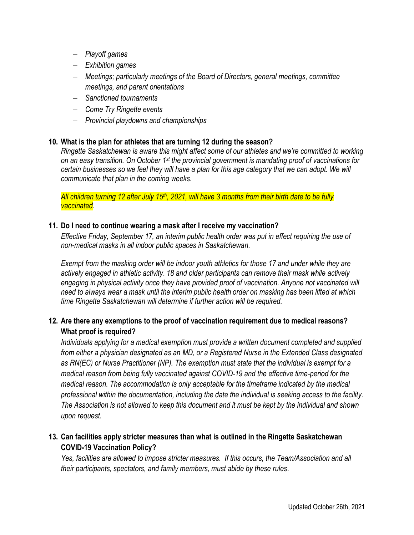- − *Playoff games*
- − *Exhibition games*
- − *Meetings; particularly meetings of the Board of Directors, general meetings, committee meetings, and parent orientations*
- − *Sanctioned tournaments*
- − *Come Try Ringette events*
- − *Provincial playdowns and championships*

### **10. What is the plan for athletes that are turning 12 during the season?**

*Ringette Saskatchewan is aware this might affect some of our athletes and we're committed to working on an easy transition. On October 1st the provincial government is mandating proof of vaccinations for certain businesses so we feel they will have a plan for this age category that we can adopt. We will communicate that plan in the coming weeks.* 

*All children turning 12 after July 15th, 2021, will have 3 months from their birth date to be fully vaccinated.*

### **11. Do I need to continue wearing a mask after I receive my vaccination?**

*Effective Friday, September 17, an interim public health order was put in effect requiring the use of non-medical masks in all indoor public spaces in Saskatchewan.*

*Exempt from the masking order will be indoor youth athletics for those 17 and under while they are actively engaged in athletic activity. 18 and older participants can remove their mask while actively engaging in physical activity once they have provided proof of vaccination. Anyone not vaccinated will need to always wear a mask until the interim public health order on masking has been lifted at which time Ringette Saskatchewan will determine if further action will be required.*

# **12. Are there any exemptions to the proof of vaccination requirement due to medical reasons? What proof is required?**

*Individuals applying for a medical exemption must provide a written document completed and supplied from either a physician designated as an MD, or a Registered Nurse in the Extended Class designated as RN(EC) or Nurse Practitioner (NP). The exemption must state that the individual is exempt for a medical reason from being fully vaccinated against COVID-19 and the effective time-period for the medical reason. The accommodation is only acceptable for the timeframe indicated by the medical professional within the documentation, including the date the individual is seeking access to the facility. The Association is not allowed to keep this document and it must be kept by the individual and shown upon request.*

# **13. Can facilities apply stricter measures than what is outlined in the Ringette Saskatchewan COVID-19 Vaccination Policy?**

*Yes, facilities are allowed to impose stricter measures. If this occurs, the Team/Association and all their participants, spectators, and family members, must abide by these rules.*